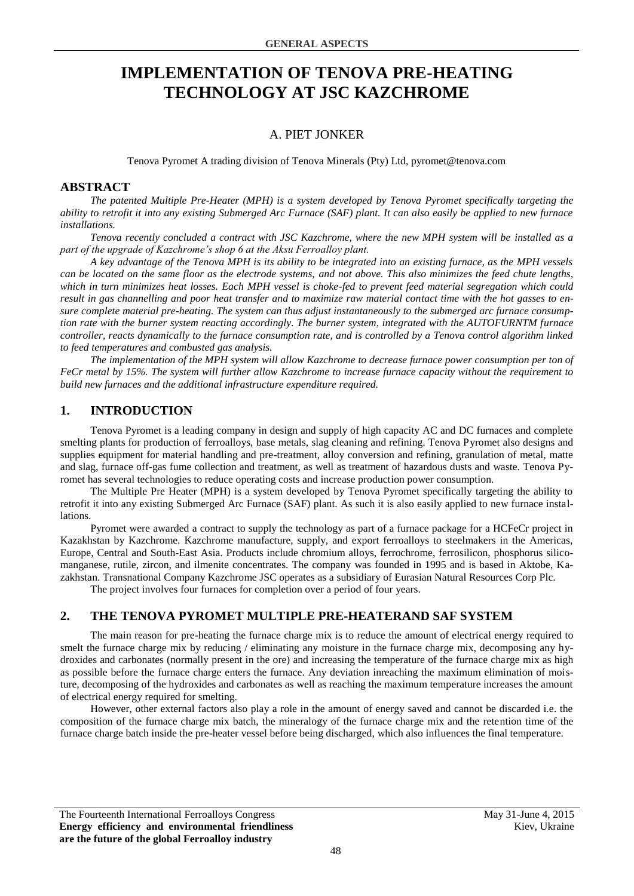# **IMPLEMENTATION OF TENOVA PRE-HEATING TECHNOLOGY AT JSC KAZCHROME**

# A. PIET JONKER

Tenova Pyromet A trading division of Tenova Minerals (Pty) Ltd, pyromet@tenova.com

#### **ABSTRACT**

*The patented Multiple Pre-Heater (MPH) is a system developed by Tenova Pyromet specifically targeting the ability to retrofit it into any existing Submerged Arc Furnace (SAF) plant. It can also easily be applied to new furnace installations.*

*Tenova recently concluded a contract with JSC Kazchrome, where the new MPH system will be installed as a part of the upgrade of Kazchrome's shop 6 at the Aksu Ferroalloy plant.*

*A key advantage of the Tenova MPH is its ability to be integrated into an existing furnace, as the MPH vessels can be located on the same floor as the electrode systems, and not above. This also minimizes the feed chute lengths, which in turn minimizes heat losses. Each MPH vessel is choke-fed to prevent feed material segregation which could result in gas channelling and poor heat transfer and to maximize raw material contact time with the hot gasses to ensure complete material pre-heating. The system can thus adjust instantaneously to the submerged arc furnace consumption rate with the burner system reacting accordingly. The burner system, integrated with the AUTOFURNTM furnace controller, reacts dynamically to the furnace consumption rate, and is controlled by a Tenova control algorithm linked to feed temperatures and combusted gas analysis.*

*The implementation of the MPH system will allow Kazchrome to decrease furnace power consumption per ton of FeCr metal by 15%. The system will further allow Kazchrome to increase furnace capacity without the requirement to build new furnaces and the additional infrastructure expenditure required.*

# **1. INTRODUCTION**

Tenova Pyromet is a leading company in design and supply of high capacity AC and DC furnaces and complete smelting plants for production of ferroalloys, base metals, slag cleaning and refining. Tenova Pyromet also designs and supplies equipment for material handling and pre-treatment, alloy conversion and refining, granulation of metal, matte and slag, furnace off-gas fume collection and treatment, as well as treatment of hazardous dusts and waste. Tenova Pyromet has several technologies to reduce operating costs and increase production power consumption.

The Multiple Pre Heater (MPH) is a system developed by Tenova Pyromet specifically targeting the ability to retrofit it into any existing Submerged Arc Furnace (SAF) plant. As such it is also easily applied to new furnace installations.

Pyromet were awarded a contract to supply the technology as part of a furnace package for a HCFeCr project in Kazakhstan by Kazchrome. Kazchrome manufacture, supply, and export ferroalloys to steelmakers in the Americas, Europe, Central and South-East Asia. Products include chromium alloys, ferrochrome, ferrosilicon, phosphorus silicomanganese, rutile, zircon, and ilmenite concentrates. The company was founded in 1995 and is based in Aktobe, Kazakhstan. Transnational Company Kazchrome JSC operates as a subsidiary of Eurasian Natural Resources Corp Plc.

The project involves four furnaces for completion over a period of four years.

## **2. THE TENOVA PYROMET MULTIPLE PRE-HEATERAND SAF SYSTEM**

The main reason for pre-heating the furnace charge mix is to reduce the amount of electrical energy required to smelt the furnace charge mix by reducing / eliminating any moisture in the furnace charge mix, decomposing any hydroxides and carbonates (normally present in the ore) and increasing the temperature of the furnace charge mix as high as possible before the furnace charge enters the furnace. Any deviation inreaching the maximum elimination of moisture, decomposing of the hydroxides and carbonates as well as reaching the maximum temperature increases the amount of electrical energy required for smelting.

However, other external factors also play a role in the amount of energy saved and cannot be discarded i.e. the composition of the furnace charge mix batch, the mineralogy of the furnace charge mix and the retention time of the furnace charge batch inside the pre-heater vessel before being discharged, which also influences the final temperature.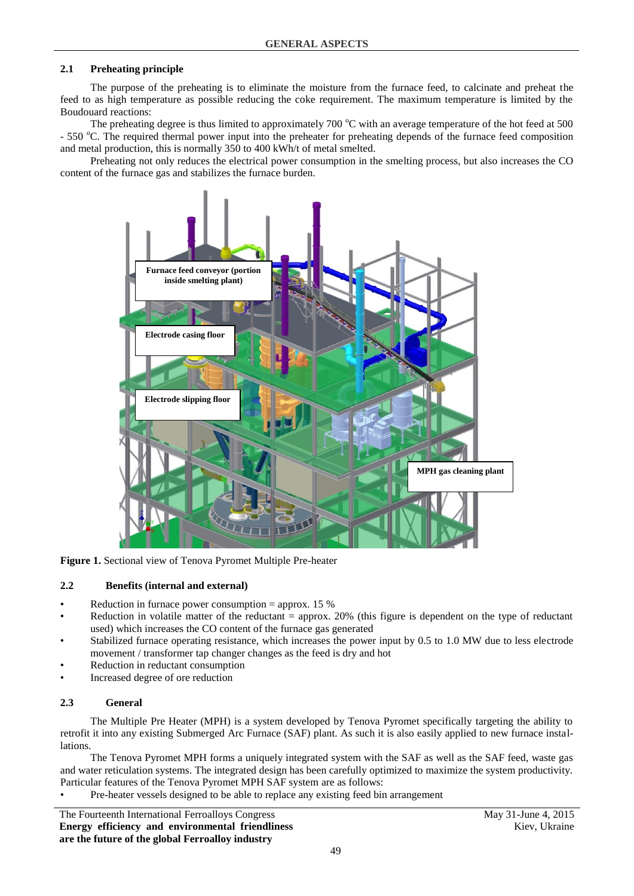#### **2.1 Preheating principle**

The purpose of the preheating is to eliminate the moisture from the furnace feed, to calcinate and preheat the feed to as high temperature as possible reducing the coke requirement. The maximum temperature is limited by the Boudouard reactions:

The preheating degree is thus limited to approximately 700  $\degree$ C with an average temperature of the hot feed at 500 - 550 °C. The required thermal power input into the preheater for preheating depends of the furnace feed composition and metal production, this is normally 350 to 400 kWh/t of metal smelted.

Preheating not only reduces the electrical power consumption in the smelting process, but also increases the CO content of the furnace gas and stabilizes the furnace burden.



**Figure 1.** Sectional view of Tenova Pyromet Multiple Pre-heater

#### **2.2 Benefits (internal and external)**

- Reduction in furnace power consumption = approx. 15 %
- Reduction in volatile matter of the reductant  $=$  approx. 20% (this figure is dependent on the type of reductant used) which increases the CO content of the furnace gas generated
- Stabilized furnace operating resistance, which increases the power input by 0.5 to 1.0 MW due to less electrode movement / transformer tap changer changes as the feed is dry and hot
- Reduction in reductant consumption
- Increased degree of ore reduction

#### **2.3 General**

The Multiple Pre Heater (MPH) is a system developed by Tenova Pyromet specifically targeting the ability to retrofit it into any existing Submerged Arc Furnace (SAF) plant. As such it is also easily applied to new furnace installations.

The Tenova Pyromet MPH forms a uniquely integrated system with the SAF as well as the SAF feed, waste gas and water reticulation systems. The integrated design has been carefully optimized to maximize the system productivity. Particular features of the Tenova Pyromet MPH SAF system are as follows:

• Pre-heater vessels designed to be able to replace any existing feed bin arrangement

The Fourteenth International Ferroalloys Congress May 31-June 4, 2015 **Energy efficiency and environmental friendliness are the future of the global Ferroalloy industry**

Kiev, Ukraine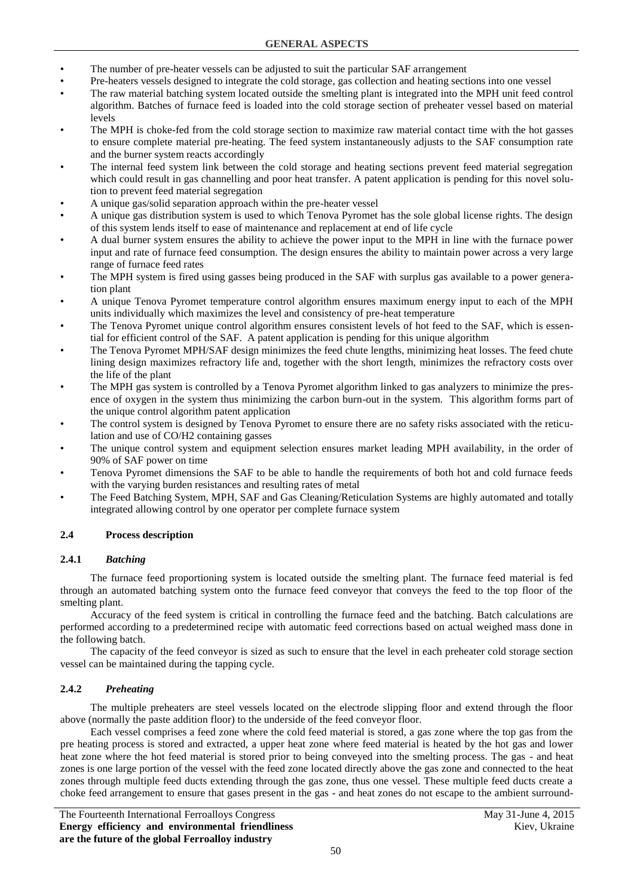- The number of pre-heater vessels can be adjusted to suit the particular SAF arrangement
- Pre-heaters vessels designed to integrate the cold storage, gas collection and heating sections into one vessel
- The raw material batching system located outside the smelting plant is integrated into the MPH unit feed control algorithm. Batches of furnace feed is loaded into the cold storage section of preheater vessel based on material levels
- The MPH is choke-fed from the cold storage section to maximize raw material contact time with the hot gasses to ensure complete material pre-heating. The feed system instantaneously adjusts to the SAF consumption rate and the burner system reacts accordingly
- The internal feed system link between the cold storage and heating sections prevent feed material segregation which could result in gas channelling and poor heat transfer. A patent application is pending for this novel solution to prevent feed material segregation
- A unique gas/solid separation approach within the pre-heater vessel
- A unique gas distribution system is used to which Tenova Pyromet has the sole global license rights. The design of this system lends itself to ease of maintenance and replacement at end of life cycle
- A dual burner system ensures the ability to achieve the power input to the MPH in line with the furnace power input and rate of furnace feed consumption. The design ensures the ability to maintain power across a very large range of furnace feed rates
- The MPH system is fired using gasses being produced in the SAF with surplus gas available to a power generation plant
- A unique Tenova Pyromet temperature control algorithm ensures maximum energy input to each of the MPH units individually which maximizes the level and consistency of pre-heat temperature
- The Tenova Pyromet unique control algorithm ensures consistent levels of hot feed to the SAF, which is essential for efficient control of the SAF. A patent application is pending for this unique algorithm
- The Tenova Pyromet MPH/SAF design minimizes the feed chute lengths, minimizing heat losses. The feed chute lining design maximizes refractory life and, together with the short length, minimizes the refractory costs over the life of the plant
- The MPH gas system is controlled by a Tenova Pyromet algorithm linked to gas analyzers to minimize the presence of oxygen in the system thus minimizing the carbon burn-out in the system. This algorithm forms part of the unique control algorithm patent application
- The control system is designed by Tenova Pyromet to ensure there are no safety risks associated with the reticulation and use of CO/H2 containing gasses
- The unique control system and equipment selection ensures market leading MPH availability, in the order of 90% of SAF power on time
- Tenova Pyromet dimensions the SAF to be able to handle the requirements of both hot and cold furnace feeds with the varying burden resistances and resulting rates of metal
- The Feed Batching System, MPH, SAF and Gas Cleaning/Reticulation Systems are highly automated and totally integrated allowing control by one operator per complete furnace system

## **2.4 Process description**

## **2.4.1** *Batching*

The furnace feed proportioning system is located outside the smelting plant. The furnace feed material is fed through an automated batching system onto the furnace feed conveyor that conveys the feed to the top floor of the smelting plant.

Accuracy of the feed system is critical in controlling the furnace feed and the batching. Batch calculations are performed according to a predetermined recipe with automatic feed corrections based on actual weighed mass done in the following batch.

The capacity of the feed conveyor is sized as such to ensure that the level in each preheater cold storage section vessel can be maintained during the tapping cycle.

## **2.4.2** *Preheating*

The multiple preheaters are steel vessels located on the electrode slipping floor and extend through the floor above (normally the paste addition floor) to the underside of the feed conveyor floor.

Each vessel comprises a feed zone where the cold feed material is stored, a gas zone where the top gas from the pre heating process is stored and extracted, a upper heat zone where feed material is heated by the hot gas and lower heat zone where the hot feed material is stored prior to being conveyed into the smelting process. The gas - and heat zones is one large portion of the vessel with the feed zone located directly above the gas zone and connected to the heat zones through multiple feed ducts extending through the gas zone, thus one vessel. These multiple feed ducts create a choke feed arrangement to ensure that gases present in the gas - and heat zones do not escape to the ambient surround